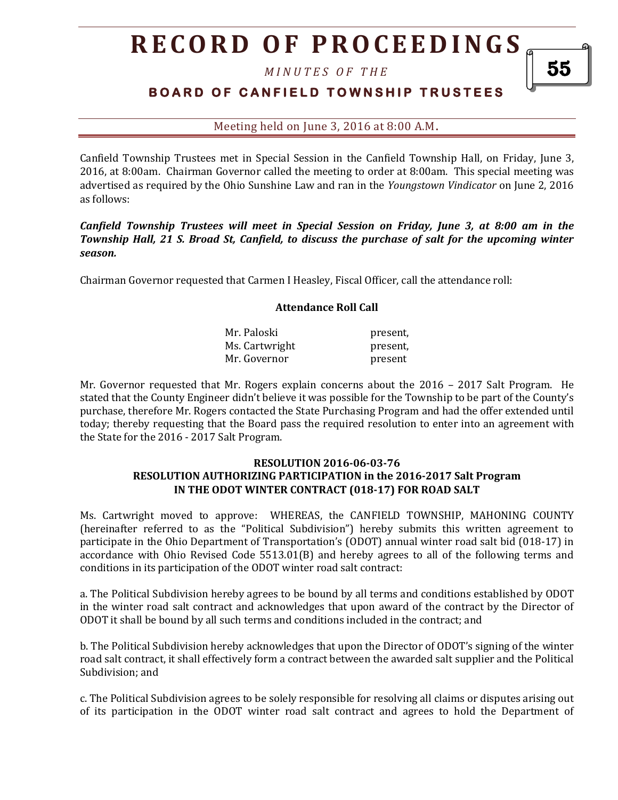# **R E C O R D O F P R O C E E D I N GS**

*M I N U T E S O F T H E* 

## **BOARD OF CANFIELD TOWNSHIP TRUSTEES**

Meeting held on June 3, 2016 at 8:00 A.M**.**

Canfield Township Trustees met in Special Session in the Canfield Township Hall, on Friday, June 3, 2016, at 8:00am. Chairman Governor called the meeting to order at 8:00am. This special meeting was advertised as required by the Ohio Sunshine Law and ran in the *Youngstown Vindicator* on June 2, 2016 as follows:

*Canfield Township Trustees will meet in Special Session on Friday, June 3, at 8:00 am in the Township Hall, 21 S. Broad St, Canfield, to discuss the purchase of salt for the upcoming winter season.*

Chairman Governor requested that Carmen I Heasley, Fiscal Officer, call the attendance roll:

#### **Attendance Roll Call**

| Mr. Paloski    | present, |
|----------------|----------|
| Ms. Cartwright | present. |
| Mr. Governor   | present  |

Mr. Governor requested that Mr. Rogers explain concerns about the 2016 – 2017 Salt Program. He stated that the County Engineer didn't believe it was possible for the Township to be part of the County's purchase, therefore Mr. Rogers contacted the State Purchasing Program and had the offer extended until today; thereby requesting that the Board pass the required resolution to enter into an agreement with the State for the 2016 - 2017 Salt Program.

#### **RESOLUTION 2016-06-03-76 RESOLUTION AUTHORIZING PARTICIPATION in the 2016-2017 Salt Program IN THE ODOT WINTER CONTRACT (018-17) FOR ROAD SALT**

Ms. Cartwright moved to approve: WHEREAS, the CANFIELD TOWNSHIP, MAHONING COUNTY (hereinafter referred to as the "Political Subdivision") hereby submits this written agreement to participate in the Ohio Department of Transportation's (ODOT) annual winter road salt bid (018-17) in accordance with Ohio Revised Code 5513.01(B) and hereby agrees to all of the following terms and conditions in its participation of the ODOT winter road salt contract:

a. The Political Subdivision hereby agrees to be bound by all terms and conditions established by ODOT in the winter road salt contract and acknowledges that upon award of the contract by the Director of ODOT it shall be bound by all such terms and conditions included in the contract; and

b. The Political Subdivision hereby acknowledges that upon the Director of ODOT's signing of the winter road salt contract, it shall effectively form a contract between the awarded salt supplier and the Political Subdivision; and

c. The Political Subdivision agrees to be solely responsible for resolving all claims or disputes arising out of its participation in the ODOT winter road salt contract and agrees to hold the Department of

55